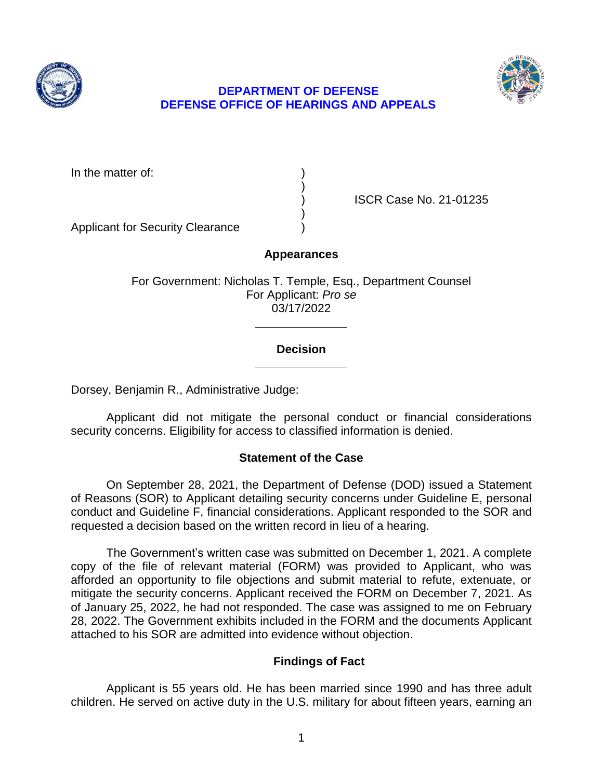



### **DEPARTMENT OF DEFENSE DEFENSE OFFICE OF HEARINGS AND APPEALS**

In the matter of:

) ISCR Case No. 21-01235

Applicant for Security Clearance )

**Appearances** 

)

)

For Government: Nicholas T. Temple, Esq., Department Counsel For Applicant: *Pro se*  03/17/2022

### **\_\_\_\_\_\_\_\_\_\_\_\_\_\_ Decision**

**\_\_\_\_\_\_\_\_\_\_\_\_\_\_** 

Dorsey, Benjamin R., Administrative Judge:

 Applicant did not mitigate the personal conduct or financial considerations security concerns. Eligibility for access to classified information is denied.

# **Statement of the Case**

 On September 28, 2021, the Department of Defense (DOD) issued a Statement conduct and Guideline F, financial considerations. Applicant responded to the SOR and requested a decision based on the written record in lieu of a hearing. of Reasons (SOR) to Applicant detailing security concerns under Guideline E, personal

 copy of the file of relevant material (FORM) was provided to Applicant, who was afforded an opportunity to file objections and submit material to refute, extenuate, or mitigate the security concerns. Applicant received the FORM on December 7, 2021. As of January 25, 2022, he had not responded. The case was assigned to me on February 28, 2022. The Government exhibits included in the FORM and the documents Applicant The Government's written case was submitted on December 1, 2021. A complete attached to his SOR are admitted into evidence without objection.

# **Findings of Fact**

 Applicant is 55 years old. He has been married since 1990 and has three adult children. He served on active duty in the U.S. military for about fifteen years, earning an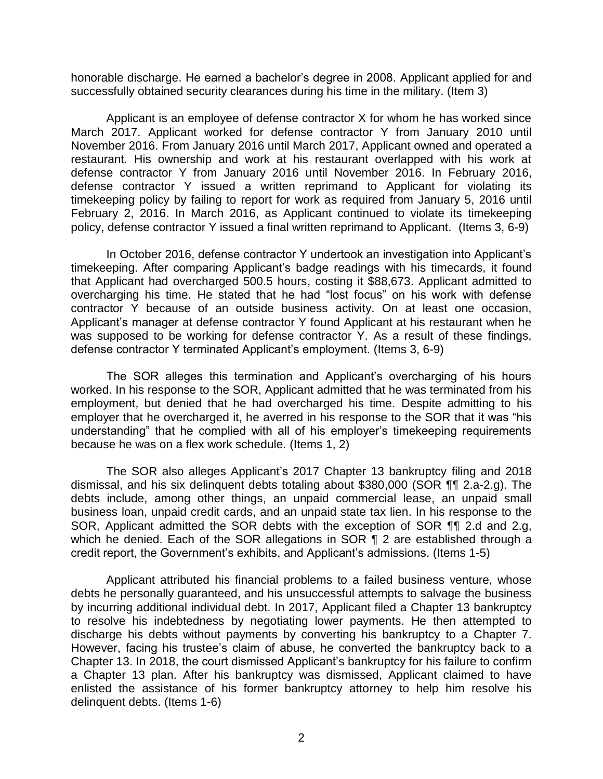honorable discharge. He earned a bachelor's degree in 2008. Applicant applied for and successfully obtained security clearances during his time in the military. (Item 3)

 Applicant is an employee of defense contractor X for whom he has worked since March 2017. Applicant worked for defense contractor Y from January 2010 until November 2016. From January 2016 until March 2017, Applicant owned and operated a restaurant. His ownership and work at his restaurant overlapped with his work at defense contractor Y from January 2016 until November 2016. In February 2016, defense contractor Y issued a written reprimand to Applicant for violating its timekeeping policy by failing to report for work as required from January 5, 2016 until February 2, 2016. In March 2016, as Applicant continued to violate its timekeeping policy, defense contractor Y issued a final written reprimand to Applicant. (Items 3, 6-9)

 In October 2016, defense contractor Y undertook an investigation into Applicant's that Applicant had overcharged 500.5 hours, costing it \$88,673. Applicant admitted to overcharging his time. He stated that he had "lost focus" on his work with defense contractor Y because of an outside business activity. On at least one occasion, Applicant's manager at defense contractor Y found Applicant at his restaurant when he was supposed to be working for defense contractor Y. As a result of these findings, timekeeping. After comparing Applicant's badge readings with his timecards, it found defense contractor Y terminated Applicant's employment. (Items 3, 6-9)

 The SOR alleges this termination and Applicant's overcharging of his hours worked. In his response to the SOR, Applicant admitted that he was terminated from his employment, but denied that he had overcharged his time. Despite admitting to his employer that he overcharged it, he averred in his response to the SOR that it was "his understanding" that he complied with all of his employer's timekeeping requirements because he was on a flex work schedule. (Items 1, 2)

 The SOR also alleges Applicant's 2017 Chapter 13 bankruptcy filing and 2018 dismissal, and his six delinquent debts totaling about \$380,000 (SOR ¶¶ 2.a-2.g). The business loan, unpaid credit cards, and an unpaid state tax lien. In his response to the SOR, Applicant admitted the SOR debts with the exception of SOR ¶¶ 2.d and 2.g, debts include, among other things, an unpaid commercial lease, an unpaid small which he denied. Each of the SOR allegations in SOR ¶ 2 are established through a credit report, the Government's exhibits, and Applicant's admissions. (Items 1-5)

 Applicant attributed his financial problems to a failed business venture, whose debts he personally guaranteed, and his unsuccessful attempts to salvage the business by incurring additional individual debt. In 2017, Applicant filed a Chapter 13 bankruptcy to resolve his indebtedness by negotiating lower payments. He then attempted to discharge his debts without payments by converting his bankruptcy to a Chapter 7. However, facing his trustee's claim of abuse, he converted the bankruptcy back to a a Chapter 13 plan. After his bankruptcy was dismissed, Applicant claimed to have enlisted the assistance of his former bankruptcy attorney to help him resolve his Chapter 13. In 2018, the court dismissed Applicant's bankruptcy for his failure to confirm delinquent debts. (Items 1-6)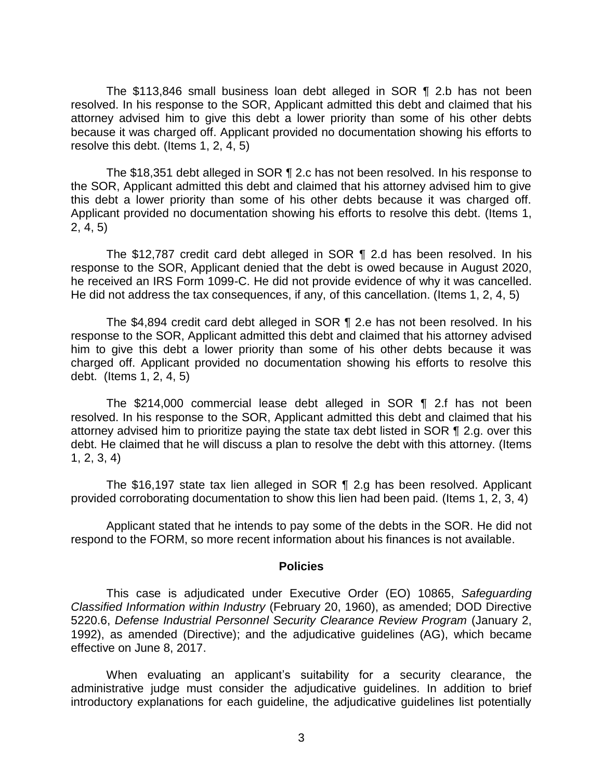The \$113,846 small business loan debt alleged in SOR ¶ 2.b has not been resolved. In his response to the SOR, Applicant admitted this debt and claimed that his attorney advised him to give this debt a lower priority than some of his other debts because it was charged off. Applicant provided no documentation showing his efforts to resolve this debt. (Items 1, 2, 4, 5)

 the SOR, Applicant admitted this debt and claimed that his attorney advised him to give this debt a lower priority than some of his other debts because it was charged off. Applicant provided no documentation showing his efforts to resolve this debt. (Items 1, The \$18,351 debt alleged in SOR ¶ 2.c has not been resolved. In his response to 2, 4, 5)

 The \$12,787 credit card debt alleged in SOR ¶ 2.d has been resolved. In his response to the SOR, Applicant denied that the debt is owed because in August 2020, he received an IRS Form 1099-C. He did not provide evidence of why it was cancelled. He did not address the tax consequences, if any, of this cancellation. (Items 1, 2, 4, 5)

 The \$4,894 credit card debt alleged in SOR ¶ 2.e has not been resolved. In his him to give this debt a lower priority than some of his other debts because it was charged off. Applicant provided no documentation showing his efforts to resolve this response to the SOR, Applicant admitted this debt and claimed that his attorney advised debt. (Items 1, 2, 4, 5)

 resolved. In his response to the SOR, Applicant admitted this debt and claimed that his attorney advised him to prioritize paying the state tax debt listed in SOR ¶ 2.g. over this debt. He claimed that he will discuss a plan to resolve the debt with this attorney. (Items The \$214,000 commercial lease debt alleged in SOR ¶ 2.f has not been 1, 2, 3, 4)

 The \$16,197 state tax lien alleged in SOR ¶ 2.g has been resolved. Applicant provided corroborating documentation to show this lien had been paid. (Items 1, 2, 3, 4)

 Applicant stated that he intends to pay some of the debts in the SOR. He did not respond to the FORM, so more recent information about his finances is not available.

#### **Policies**

 *Classified Information within Industry* (February 20, 1960), as amended; DOD Directive 5220.6, *Defense Industrial Personnel Security Clearance Review Program* (January 2, 1992), as amended (Directive); and the adjudicative guidelines (AG), which became This case is adjudicated under Executive Order (EO) 10865, *Safeguarding*  effective on June 8, 2017.

 When evaluating an applicant's suitability for a security clearance, the administrative judge must consider the adjudicative guidelines. In addition to brief introductory explanations for each guideline, the adjudicative guidelines list potentially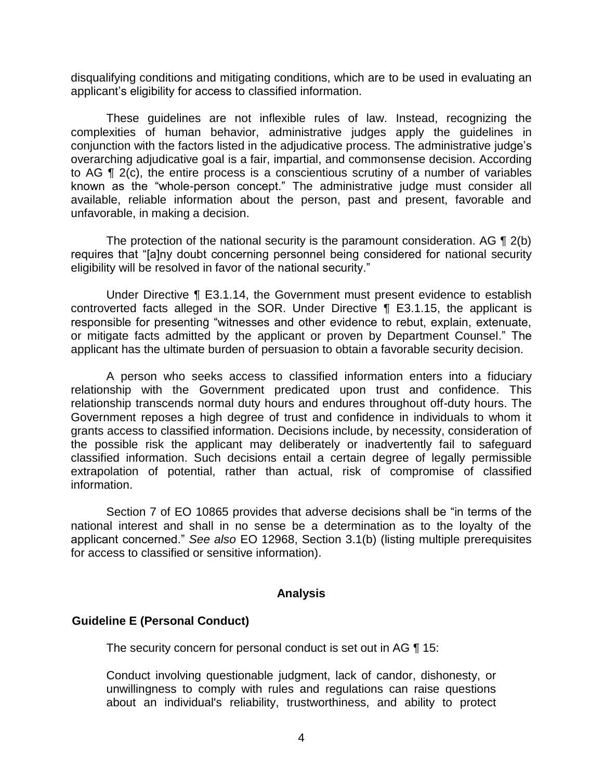disqualifying conditions and mitigating conditions, which are to be used in evaluating an applicant's eligibility for access to classified information.

 These guidelines are not inflexible rules of law. Instead, recognizing the complexities of human behavior, administrative judges apply the guidelines in conjunction with the factors listed in the adjudicative process. The administrative judge's overarching adjudicative goal is a fair, impartial, and commonsense decision. According to AG ¶ 2(c), the entire process is a conscientious scrutiny of a number of variables known as the "whole-person concept." The administrative judge must consider all available, reliable information about the person, past and present, favorable and unfavorable, in making a decision.

The protection of the national security is the paramount consideration. AG  $\P$  2(b) eligibility will be resolved in favor of the national security." requires that "[a]ny doubt concerning personnel being considered for national security

 Under Directive ¶ E3.1.14, the Government must present evidence to establish controverted facts alleged in the SOR. Under Directive ¶ E3.1.15, the applicant is responsible for presenting "witnesses and other evidence to rebut, explain, extenuate, or mitigate facts admitted by the applicant or proven by Department Counsel." The applicant has the ultimate burden of persuasion to obtain a favorable security decision.

 A person who seeks access to classified information enters into a fiduciary relationship with the Government predicated upon trust and confidence. This relationship transcends normal duty hours and endures throughout off-duty hours. The Government reposes a high degree of trust and confidence in individuals to whom it grants access to classified information. Decisions include, by necessity, consideration of the possible risk the applicant may deliberately or inadvertently fail to safeguard classified information. Such decisions entail a certain degree of legally permissible extrapolation of potential, rather than actual, risk of compromise of classified information.

 Section 7 of EO 10865 provides that adverse decisions shall be "in terms of the national interest and shall in no sense be a determination as to the loyalty of the applicant concerned." *See also* EO 12968, Section 3.1(b) (listing multiple prerequisites for access to classified or sensitive information).

#### **Analysis**

### **Guideline E (Personal Conduct)**

The security concern for personal conduct is set out in AG ¶ 15:

 Conduct involving questionable judgment, lack of candor, dishonesty, or unwillingness to comply with rules and regulations can raise questions about an individual's reliability, trustworthiness, and ability to protect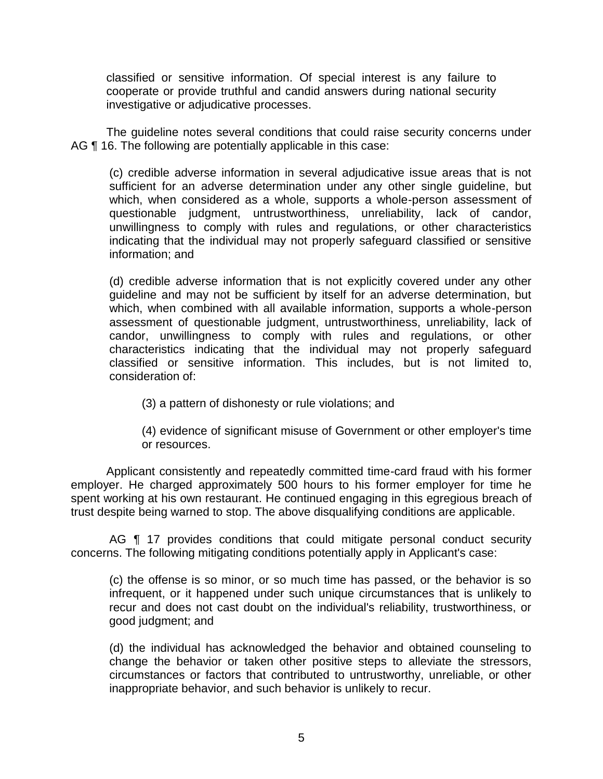cooperate or provide truthful and candid answers during national security classified or sensitive information. Of special interest is any failure to investigative or adjudicative processes.

 The guideline notes several conditions that could raise security concerns under AG ¶ 16. The following are potentially applicable in this case:

(c) credible adverse information in several adjudicative issue areas that is not sufficient for an adverse determination under any other single guideline, but which, when considered as a whole, supports a whole-person assessment of questionable judgment, untrustworthiness, unreliability, lack of candor, unwillingness to comply with rules and regulations, or other characteristics indicating that the individual may not properly safeguard classified or sensitive information; and

(d) credible adverse information that is not explicitly covered under any other guideline and may not be sufficient by itself for an adverse determination, but which, when combined with all available information, supports a whole-person assessment of questionable judgment, untrustworthiness, unreliability, lack of candor, unwillingness to comply with rules and regulations, or other characteristics indicating that the individual may not properly safeguard classified or sensitive information. This includes, but is not limited to, consideration of:

(3) a pattern of dishonesty or rule violations; and

(4) evidence of significant misuse of Government or other employer's time or resources.

 Applicant consistently and repeatedly committed time-card fraud with his former employer. He charged approximately 500 hours to his former employer for time he spent working at his own restaurant. He continued engaging in this egregious breach of trust despite being warned to stop. The above disqualifying conditions are applicable.

AG **[1** 17 provides conditions that could mitigate personal conduct security concerns. The following mitigating conditions potentially apply in Applicant's case:

(c) the offense is so minor, or so much time has passed, or the behavior is so infrequent, or it happened under such unique circumstances that is unlikely to recur and does not cast doubt on the individual's reliability, trustworthiness, or good judgment; and

(d) the individual has acknowledged the behavior and obtained counseling to hange the behavior or taken other positive steps to alleviate the stressors, c circumstances or factors that contributed to untrustworthy, unreliable, or other nappropriate behavior, and such behavior is unlikely to recur. i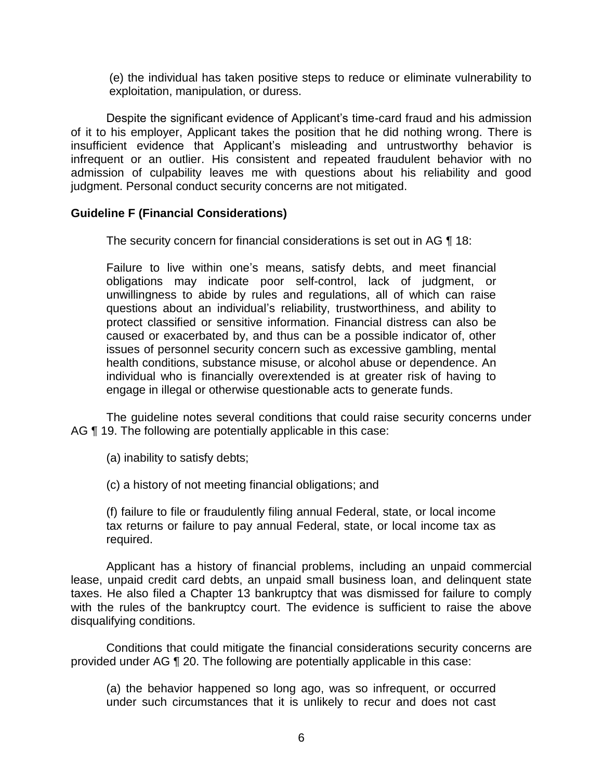(e) the individual has taken positive steps to reduce or eliminate vulnerability to exploitation, manipulation, or duress.

 Despite the significant evidence of Applicant's time-card fraud and his admission of it to his employer, Applicant takes the position that he did nothing wrong. There is infrequent or an outlier. His consistent and repeated fraudulent behavior with no admission of culpability leaves me with questions about his reliability and good insufficient evidence that Applicant's misleading and untrustworthy behavior is judgment. Personal conduct security concerns are not mitigated.

### **Guideline F (Financial Considerations)**

The security concern for financial considerations is set out in AG ¶ 18:

Failure to live within one's means, satisfy debts, and meet financial obligations may indicate poor self-control, lack of judgment, or unwillingness to abide by rules and regulations, all of which can raise questions about an individual's reliability, trustworthiness, and ability to protect classified or sensitive information. Financial distress can also be caused or exacerbated by, and thus can be a possible indicator of, other issues of personnel security concern such as excessive gambling, mental health conditions, substance misuse, or alcohol abuse or dependence. An individual who is financially overextended is at greater risk of having to engage in illegal or otherwise questionable acts to generate funds.

 The guideline notes several conditions that could raise security concerns under AG ¶ 19. The following are potentially applicable in this case:

(a) inability to satisfy debts;

(c) a history of not meeting financial obligations; and

(f) failure to file or fraudulently filing annual Federal, state, or local income tax returns or failure to pay annual Federal, state, or local income tax as required.

 Applicant has a history of financial problems, including an unpaid commercial lease, unpaid credit card debts, an unpaid small business loan, and delinquent state taxes. He also filed a Chapter 13 bankruptcy that was dismissed for failure to comply with the rules of the bankruptcy court. The evidence is sufficient to raise the above disqualifying conditions.

 provided under AG ¶ 20. The following are potentially applicable in this case: Conditions that could mitigate the financial considerations security concerns are

 (a) the behavior happened so long ago, was so infrequent, or occurred under such circumstances that it is unlikely to recur and does not cast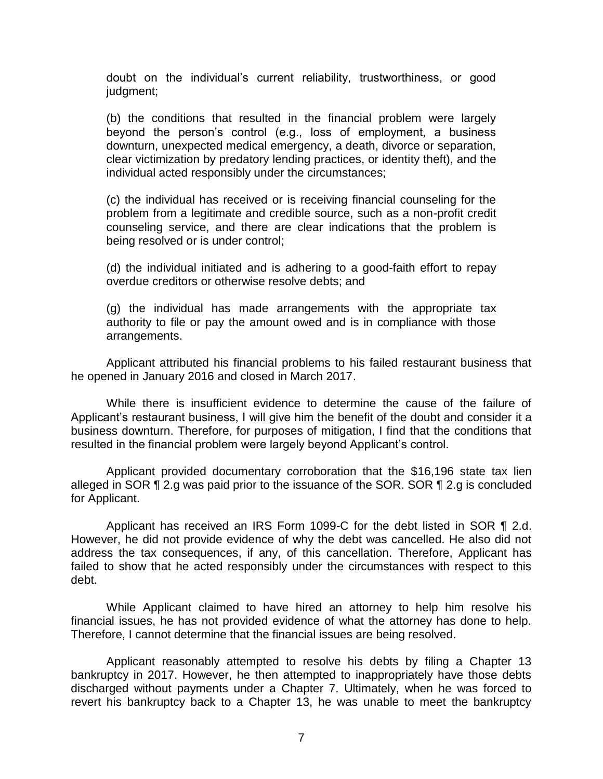doubt on the individual's current reliability, trustworthiness, or good judgment;

(b) the conditions that resulted in the financial problem were largely beyond the person's control (e.g., loss of employment, a business downturn, unexpected medical emergency, a death, divorce or separation, clear victimization by predatory lending practices, or identity theft), and the individual acted responsibly under the circumstances;

(c) the individual has received or is receiving financial counseling for the problem from a legitimate and credible source, such as a non-profit credit counseling service, and there are clear indications that the problem is being resolved or is under control;

(d) the individual initiated and is adhering to a good-faith effort to repay overdue creditors or otherwise resolve debts; and

(g) the individual has made arrangements with the appropriate tax authority to file or pay the amount owed and is in compliance with those arrangements.

 Applicant attributed his financial problems to his failed restaurant business that he opened in January 2016 and closed in March 2017.

 While there is insufficient evidence to determine the cause of the failure of Applicant's restaurant business, I will give him the benefit of the doubt and consider it a business downturn. Therefore, for purposes of mitigation, I find that the conditions that resulted in the financial problem were largely beyond Applicant's control.

 Applicant provided documentary corroboration that the \$16,196 state tax lien alleged in SOR  $\P$  2.g was paid prior to the issuance of the SOR. SOR  $\P$  2.g is concluded for Applicant.

Applicant has received an IRS Form 1099-C for the debt listed in SOR ¶ 2.d. However, he did not provide evidence of why the debt was cancelled. He also did not address the tax consequences, if any, of this cancellation. Therefore, Applicant has failed to show that he acted responsibly under the circumstances with respect to this debt.

 While Applicant claimed to have hired an attorney to help him resolve his financial issues, he has not provided evidence of what the attorney has done to help. Therefore, I cannot determine that the financial issues are being resolved.

 Applicant reasonably attempted to resolve his debts by filing a Chapter 13 bankruptcy in 2017. However, he then attempted to inappropriately have those debts discharged without payments under a Chapter 7. Ultimately, when he was forced to revert his bankruptcy back to a Chapter 13, he was unable to meet the bankruptcy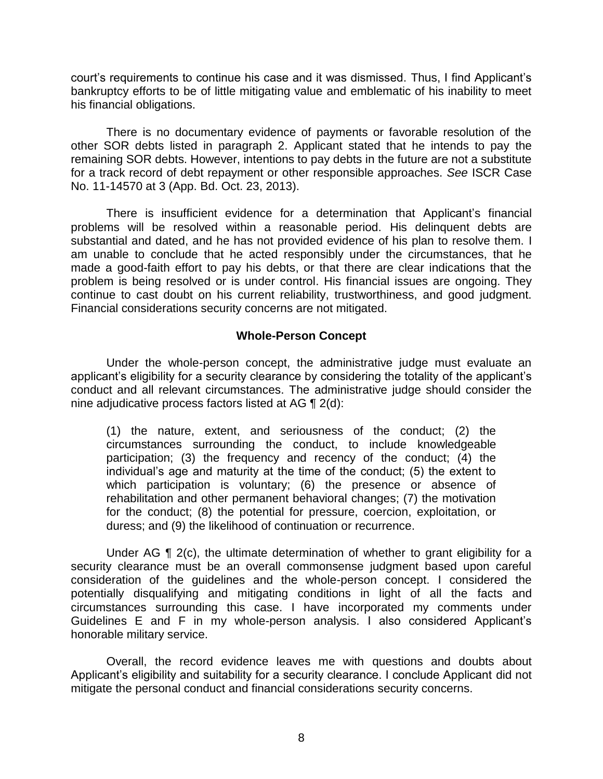court's requirements to continue his case and it was dismissed. Thus, I find Applicant's bankruptcy efforts to be of little mitigating value and emblematic of his inability to meet his financial obligations.

 There is no documentary evidence of payments or favorable resolution of the other SOR debts listed in paragraph 2. Applicant stated that he intends to pay the for a track record of debt repayment or other responsible approaches. *See* ISCR Case remaining SOR debts. However, intentions to pay debts in the future are not a substitute No. 11-14570 at 3 (App. Bd. Oct. 23, 2013).

 There is insufficient evidence for a determination that Applicant's financial problems will be resolved within a reasonable period. His delinquent debts are substantial and dated, and he has not provided evidence of his plan to resolve them. I am unable to conclude that he acted responsibly under the circumstances, that he made a good-faith effort to pay his debts, or that there are clear indications that the problem is being resolved or is under control. His financial issues are ongoing. They continue to cast doubt on his current reliability, trustworthiness, and good judgment. Financial considerations security concerns are not mitigated.

#### **Whole-Person Concept**

Under the whole-person concept, the administrative judge must evaluate an applicant's eligibility for a security clearance by considering the totality of the applicant's conduct and all relevant circumstances. The administrative judge should consider the nine adjudicative process factors listed at AG ¶ 2(d):

(1) the nature, extent, and seriousness of the conduct; (2) the circumstances surrounding the conduct, to include knowledgeable participation; (3) the frequency and recency of the conduct; (4) the individual's age and maturity at the time of the conduct; (5) the extent to which participation is voluntary; (6) the presence or absence of rehabilitation and other permanent behavioral changes; (7) the motivation for the conduct; (8) the potential for pressure, coercion, exploitation, or duress; and (9) the likelihood of continuation or recurrence.

Under AG  $\P$  2(c), the ultimate determination of whether to grant eligibility for a security clearance must be an overall commonsense judgment based upon careful consideration of the guidelines and the whole-person concept. I considered the potentially disqualifying and mitigating conditions in light of all the facts and circumstances surrounding this case. I have incorporated my comments under Guidelines E and F in my whole-person analysis. I also considered Applicant's honorable military service.

 Applicant's eligibility and suitability for a security clearance. I conclude Applicant did not Overall, the record evidence leaves me with questions and doubts about mitigate the personal conduct and financial considerations security concerns.